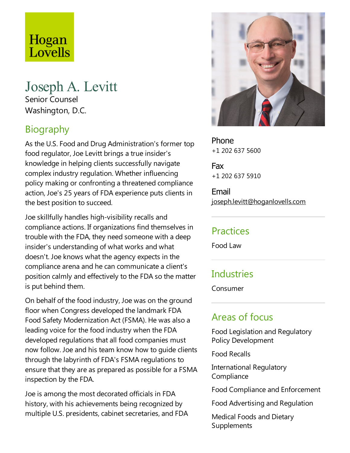# Hogan Lovells

#### Joseph A. Levitt Senior Counsel

Washington, D.C.

# Biography

As the U.S. Food and Drug Administration's former top food regulator, Joe Levitt brings a true insider's knowledge in helping clients successfully navigate complex industry regulation. Whether influencing policy making or confronting athreatened compliance action, Joe's 25 years of FDA experience puts clients in the best position to succeed.

Joeskillfully handles high-visibility recalls and compliance actions. If organizations find themselves in trouble with theFDA, they need someone with a deep insider's understanding of what works and what doesn't. Joe knows what the agency expects in the compliance arena and he can communicate a client's position calmly and effectively to the FDA so the matter is put behind them.

On behalf of the food industry, Joe was on the ground floor when Congress developed the landmark FDA Food Safety Modernization Act (FSMA). He was also a leading voice for the food industry when the FDA developed regulations that all food companies must now follow. Joe and his team know how to quide clients through thelabyrinth of FDA's FSMA regulations to ensure that they are as prepared as possible for a FSMA inspection by the FDA.

Joe is among the most decorated officials in FDA history, with his achievements being recognized by multiple U.S. presidents, cabinet secretaries, and FDA



Phone +1 202 637 5600

Fax +1 202 637 5910

Email joseph.levitt@hoganlovells.com

#### **Practices**

Food Law

## **Industries**

Consumer

#### Areas of focus

Food Legislation and Regulatory Policy Development

Food Recalls

International Regulatory **Compliance** 

Food Compliance and Enforcement

Food Advertising and Regulation

Medical Foods and Dietary Supplements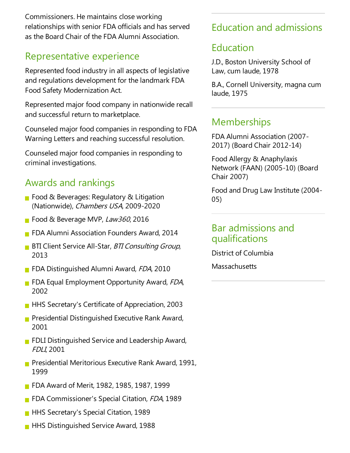Commissioners. He maintains close working relationships with senior FDA officials and has served as the Board Chair of the FDA Alumni Association.

## Representative experience

Represented food industry in all aspects of legislative and regulations development for the landmark FDA Food Safety Modernization Act.

Represented major food company in nationwide recall and successful return to marketplace.

Counseled major food companies in responding to FDA Warning Letters and reaching successful resolution.

Counseled major food companies in responding to criminal investigations.

#### Awards and rankings

- Food & Beverages: Regulatory & Litigation (Nationwide), Chambers USA, 2009-2020
- Food & Beverage MVP, Law360, 2016
- **FIDA Alumni Association Founders Award, 2014**
- **BTI Client Service All-Star, BTI Consulting Group,** 2013
- **FDA Distinguished Alumni Award, FDA, 2010**
- **FIDA Equal Employment Opportunity Award, FDA,** 2002
- **HHS Secretary's Certificate of Appreciation, 2003**
- **Presidential Distinguished Executive Rank Award,** 2001
- **FIDLI Distinguished Service and Leadership Award,** FDLI, 2001
- **Presidential Meritorious Executive Rank Award, 1991,** 1999
- **FDA Award of Merit, 1982, 1985, 1987, 1999**
- **FDA Commissioner's Special Citation, FDA, 1989**
- **HHS Secretary's Special Citation, 1989**
- **HHS Distinguished Service Award, 1988**

## Education and admissions

#### Education

J.D., Boston University School of Law, cum laude, 1978

B.A., Cornell University, magna cum laude, 1975

## **Memberships**

FDA Alumni Association (2007- 2017) (Board Chair 2012-14)

Food Allergy & Anaphylaxis Network (FAAN) (2005-10) (Board Chair 2007)

Food and Drug Law Institute(2004- 05)

#### Bar admissions and qualifications

District of Columbia

**Massachusetts**